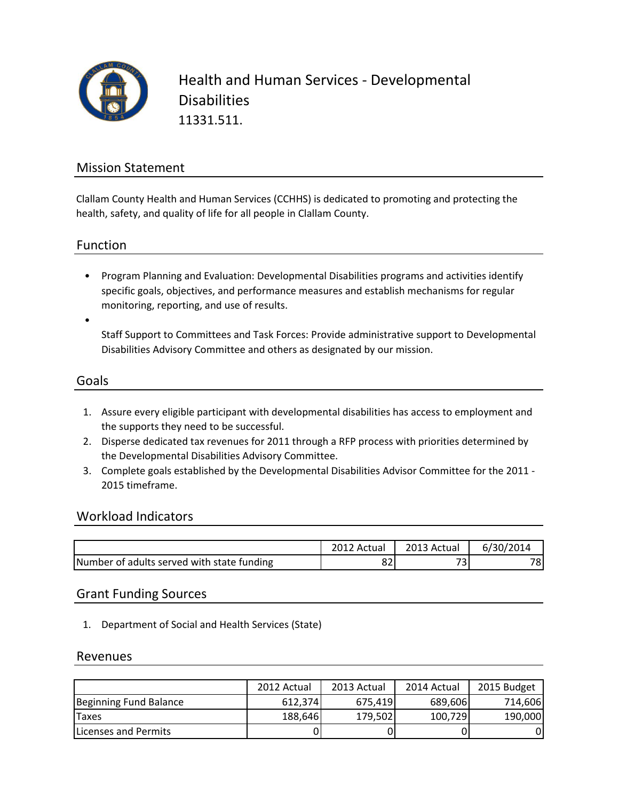

Health and Human Services - Developmental **Disabilities** 11331.511.

### Mission Statement

Clallam County Health and Human Services (CCHHS) is dedicated to promoting and protecting the health, safety, and quality of life for all people in Clallam County.

Function

• Program Planning and Evaluation: Developmental Disabilities programs and activities identify specific goals, objectives, and performance measures and establish mechanisms for regular monitoring, reporting, and use of results.

Staff Support to Committees and Task Forces: Provide administrative support to Developmental Disabilities Advisory Committee and others as designated by our mission.

#### Goals

•

- 1. Assure every eligible participant with developmental disabilities has access to employment and the supports they need to be successful.
- 2. Disperse dedicated tax revenues for 2011 through a RFP process with priorities determined by the Developmental Disabilities Advisory Committee.
- 3. Complete goals established by the Developmental Disabilities Advisor Committee for the 2011 2015 timeframe.

### Workload Indicators

|                                            | Actual   | 2013 Actual | 6/30/2014       |
|--------------------------------------------|----------|-------------|-----------------|
| Number of adults served with state funding | n n<br>ᅆ | – ~<br>ر    | 78 <sub>i</sub> |

### Grant Funding Sources

1. Department of Social and Health Services (State)

### Revenues

|                        | 2012 Actual | 2013 Actual | 2014 Actual | 2015 Budget |
|------------------------|-------------|-------------|-------------|-------------|
| Beginning Fund Balance | 612.374     | 675.419     | 689,606     | 714,606     |
| <b>Taxes</b>           | 188,646     | 179,502     | 100,729     | 190,000     |
| Licenses and Permits   |             |             |             | 01          |